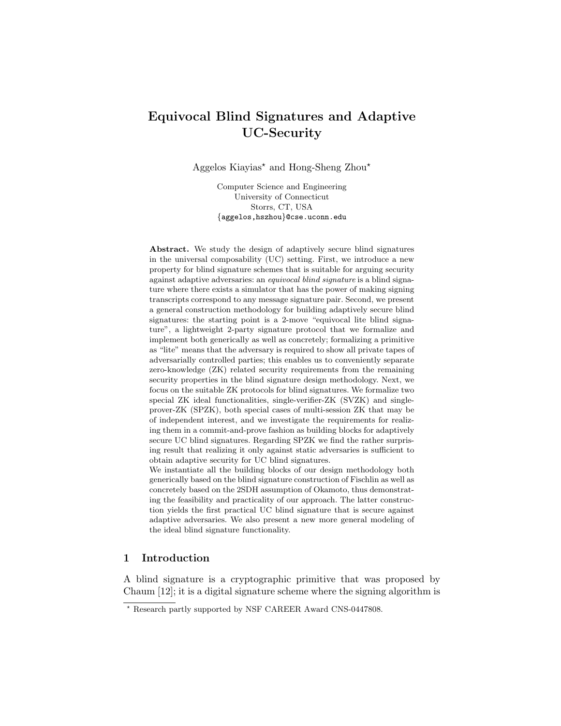# Equivocal Blind Signatures and Adaptive UC-Security

Aggelos Kiayias<sup>\*</sup> and Hong-Sheng Zhou<sup>\*</sup>

Computer Science and Engineering University of Connecticut Storrs, CT, USA {aggelos,hszhou}@cse.uconn.edu

Abstract. We study the design of adaptively secure blind signatures in the universal composability (UC) setting. First, we introduce a new property for blind signature schemes that is suitable for arguing security against adaptive adversaries: an equivocal blind signature is a blind signature where there exists a simulator that has the power of making signing transcripts correspond to any message signature pair. Second, we present a general construction methodology for building adaptively secure blind signatures: the starting point is a 2-move "equivocal lite blind signature", a lightweight 2-party signature protocol that we formalize and implement both generically as well as concretely; formalizing a primitive as "lite" means that the adversary is required to show all private tapes of adversarially controlled parties; this enables us to conveniently separate zero-knowledge (ZK) related security requirements from the remaining security properties in the blind signature design methodology. Next, we focus on the suitable ZK protocols for blind signatures. We formalize two special ZK ideal functionalities, single-verifier-ZK (SVZK) and singleprover-ZK (SPZK), both special cases of multi-session ZK that may be of independent interest, and we investigate the requirements for realizing them in a commit-and-prove fashion as building blocks for adaptively secure UC blind signatures. Regarding SPZK we find the rather surprising result that realizing it only against static adversaries is sufficient to obtain adaptive security for UC blind signatures.

We instantiate all the building blocks of our design methodology both generically based on the blind signature construction of Fischlin as well as concretely based on the 2SDH assumption of Okamoto, thus demonstrating the feasibility and practicality of our approach. The latter construction yields the first practical UC blind signature that is secure against adaptive adversaries. We also present a new more general modeling of the ideal blind signature functionality.

# 1 Introduction

A blind signature is a cryptographic primitive that was proposed by Chaum [12]; it is a digital signature scheme where the signing algorithm is

<sup>?</sup> Research partly supported by NSF CAREER Award CNS-0447808.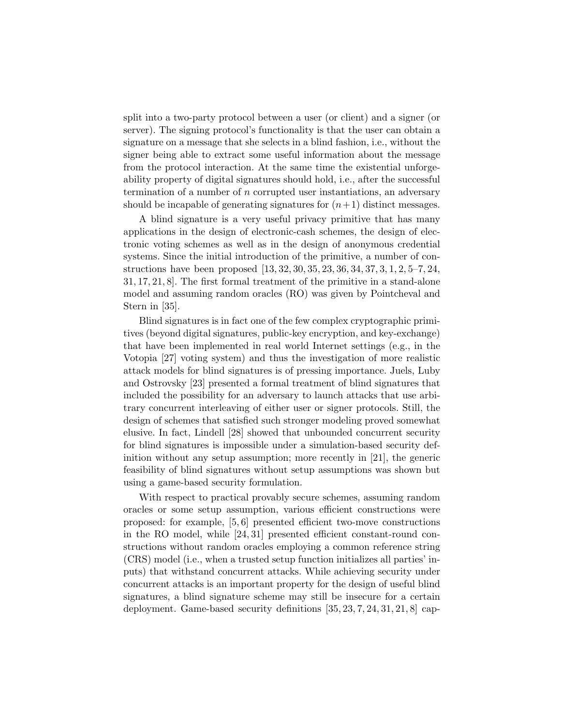split into a two-party protocol between a user (or client) and a signer (or server). The signing protocol's functionality is that the user can obtain a signature on a message that she selects in a blind fashion, i.e., without the signer being able to extract some useful information about the message from the protocol interaction. At the same time the existential unforgeability property of digital signatures should hold, i.e., after the successful termination of a number of n corrupted user instantiations, an adversary should be incapable of generating signatures for  $(n+1)$  distinct messages.

A blind signature is a very useful privacy primitive that has many applications in the design of electronic-cash schemes, the design of electronic voting schemes as well as in the design of anonymous credential systems. Since the initial introduction of the primitive, a number of constructions have been proposed [13, 32, 30, 35, 23, 36, 34, 37, 3, 1, 2, 5–7, 24, 31, 17, 21, 8]. The first formal treatment of the primitive in a stand-alone model and assuming random oracles (RO) was given by Pointcheval and Stern in [35].

Blind signatures is in fact one of the few complex cryptographic primitives (beyond digital signatures, public-key encryption, and key-exchange) that have been implemented in real world Internet settings (e.g., in the Votopia [27] voting system) and thus the investigation of more realistic attack models for blind signatures is of pressing importance. Juels, Luby and Ostrovsky [23] presented a formal treatment of blind signatures that included the possibility for an adversary to launch attacks that use arbitrary concurrent interleaving of either user or signer protocols. Still, the design of schemes that satisfied such stronger modeling proved somewhat elusive. In fact, Lindell [28] showed that unbounded concurrent security for blind signatures is impossible under a simulation-based security definition without any setup assumption; more recently in [21], the generic feasibility of blind signatures without setup assumptions was shown but using a game-based security formulation.

With respect to practical provably secure schemes, assuming random oracles or some setup assumption, various efficient constructions were proposed: for example, [5, 6] presented efficient two-move constructions in the RO model, while [24, 31] presented efficient constant-round constructions without random oracles employing a common reference string (CRS) model (i.e., when a trusted setup function initializes all parties' inputs) that withstand concurrent attacks. While achieving security under concurrent attacks is an important property for the design of useful blind signatures, a blind signature scheme may still be insecure for a certain deployment. Game-based security definitions [35, 23, 7, 24, 31, 21, 8] cap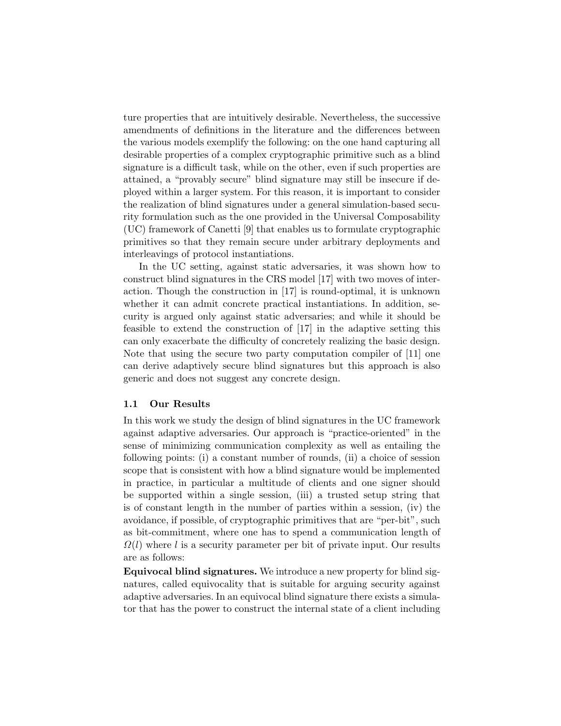ture properties that are intuitively desirable. Nevertheless, the successive amendments of definitions in the literature and the differences between the various models exemplify the following: on the one hand capturing all desirable properties of a complex cryptographic primitive such as a blind signature is a difficult task, while on the other, even if such properties are attained, a "provably secure" blind signature may still be insecure if deployed within a larger system. For this reason, it is important to consider the realization of blind signatures under a general simulation-based security formulation such as the one provided in the Universal Composability (UC) framework of Canetti [9] that enables us to formulate cryptographic primitives so that they remain secure under arbitrary deployments and interleavings of protocol instantiations.

In the UC setting, against static adversaries, it was shown how to construct blind signatures in the CRS model [17] with two moves of interaction. Though the construction in [17] is round-optimal, it is unknown whether it can admit concrete practical instantiations. In addition, security is argued only against static adversaries; and while it should be feasible to extend the construction of [17] in the adaptive setting this can only exacerbate the difficulty of concretely realizing the basic design. Note that using the secure two party computation compiler of [11] one can derive adaptively secure blind signatures but this approach is also generic and does not suggest any concrete design.

# 1.1 Our Results

In this work we study the design of blind signatures in the UC framework against adaptive adversaries. Our approach is "practice-oriented" in the sense of minimizing communication complexity as well as entailing the following points: (i) a constant number of rounds, (ii) a choice of session scope that is consistent with how a blind signature would be implemented in practice, in particular a multitude of clients and one signer should be supported within a single session, (iii) a trusted setup string that is of constant length in the number of parties within a session, (iv) the avoidance, if possible, of cryptographic primitives that are "per-bit", such as bit-commitment, where one has to spend a communication length of  $\Omega(l)$  where l is a security parameter per bit of private input. Our results are as follows:

Equivocal blind signatures. We introduce a new property for blind signatures, called equivocality that is suitable for arguing security against adaptive adversaries. In an equivocal blind signature there exists a simulator that has the power to construct the internal state of a client including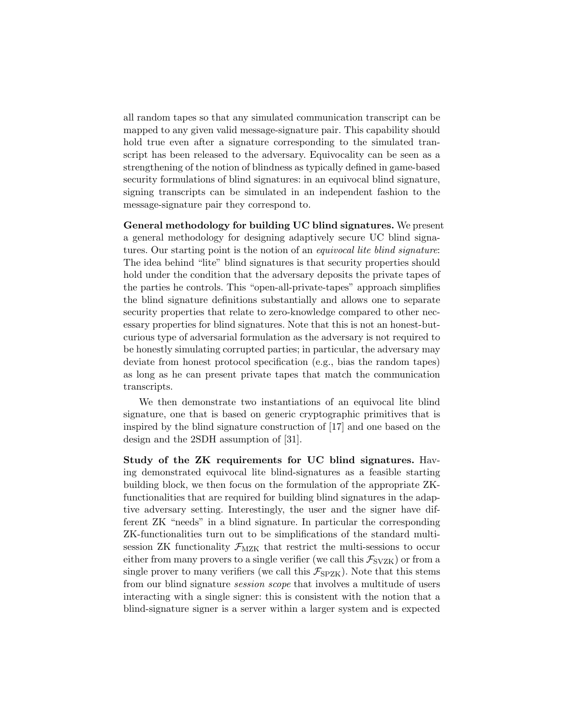all random tapes so that any simulated communication transcript can be mapped to any given valid message-signature pair. This capability should hold true even after a signature corresponding to the simulated transcript has been released to the adversary. Equivocality can be seen as a strengthening of the notion of blindness as typically defined in game-based security formulations of blind signatures: in an equivocal blind signature, signing transcripts can be simulated in an independent fashion to the message-signature pair they correspond to.

General methodology for building UC blind signatures. We present a general methodology for designing adaptively secure UC blind signatures. Our starting point is the notion of an equivocal lite blind signature: The idea behind "lite" blind signatures is that security properties should hold under the condition that the adversary deposits the private tapes of the parties he controls. This "open-all-private-tapes" approach simplifies the blind signature definitions substantially and allows one to separate security properties that relate to zero-knowledge compared to other necessary properties for blind signatures. Note that this is not an honest-butcurious type of adversarial formulation as the adversary is not required to be honestly simulating corrupted parties; in particular, the adversary may deviate from honest protocol specification (e.g., bias the random tapes) as long as he can present private tapes that match the communication transcripts.

We then demonstrate two instantiations of an equivocal lite blind signature, one that is based on generic cryptographic primitives that is inspired by the blind signature construction of [17] and one based on the design and the 2SDH assumption of [31].

Study of the ZK requirements for UC blind signatures. Having demonstrated equivocal lite blind-signatures as a feasible starting building block, we then focus on the formulation of the appropriate ZKfunctionalities that are required for building blind signatures in the adaptive adversary setting. Interestingly, the user and the signer have different ZK "needs" in a blind signature. In particular the corresponding ZK-functionalities turn out to be simplifications of the standard multisession ZK functionality  $\mathcal{F}_{MZK}$  that restrict the multi-sessions to occur either from many provers to a single verifier (we call this  $\mathcal{F}_{SVZK}$ ) or from a single prover to many verifiers (we call this  $\mathcal{F}_{SPZK}$ ). Note that this stems from our blind signature session scope that involves a multitude of users interacting with a single signer: this is consistent with the notion that a blind-signature signer is a server within a larger system and is expected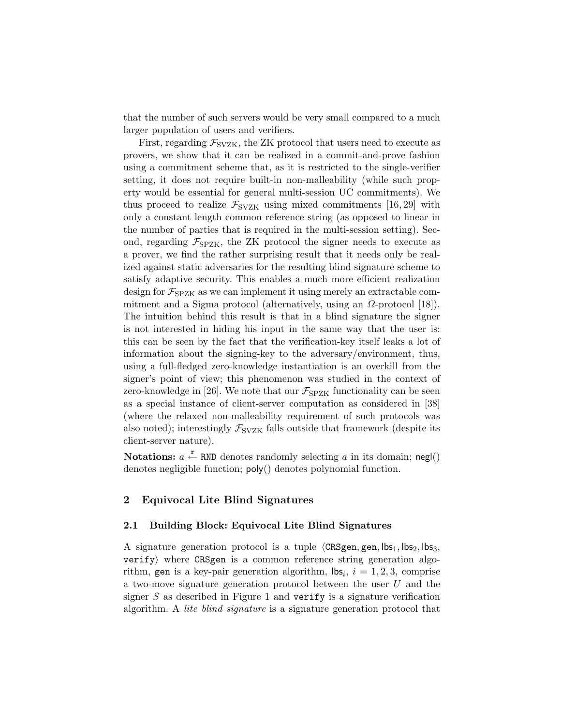that the number of such servers would be very small compared to a much larger population of users and verifiers.

First, regarding  $\mathcal{F}_{SVZK}$ , the ZK protocol that users need to execute as provers, we show that it can be realized in a commit-and-prove fashion using a commitment scheme that, as it is restricted to the single-verifier setting, it does not require built-in non-malleability (while such property would be essential for general multi-session UC commitments). We thus proceed to realize  $\mathcal{F}_{SVZK}$  using mixed commitments [16, 29] with only a constant length common reference string (as opposed to linear in the number of parties that is required in the multi-session setting). Second, regarding  $\mathcal{F}_{SPZK}$ , the ZK protocol the signer needs to execute as a prover, we find the rather surprising result that it needs only be realized against static adversaries for the resulting blind signature scheme to satisfy adaptive security. This enables a much more efficient realization design for  $\mathcal{F}_{SPZK}$  as we can implement it using merely an extractable commitment and a Sigma protocol (alternatively, using an  $\Omega$ -protocol [18]). The intuition behind this result is that in a blind signature the signer is not interested in hiding his input in the same way that the user is: this can be seen by the fact that the verification-key itself leaks a lot of information about the signing-key to the adversary/environment, thus, using a full-fledged zero-knowledge instantiation is an overkill from the signer's point of view; this phenomenon was studied in the context of zero-knowledge in [26]. We note that our  $\mathcal{F}_{SPZK}$  functionality can be seen as a special instance of client-server computation as considered in [38] (where the relaxed non-malleability requirement of such protocols was also noted); interestingly  $\mathcal{F}_{SVZK}$  falls outside that framework (despite its client-server nature).

Notations:  $a \stackrel{r}{\leftarrow}$  RND denotes randomly selecting a in its domain; negl() denotes negligible function; poly() denotes polynomial function.

# 2 Equivocal Lite Blind Signatures

# 2.1 Building Block: Equivocal Lite Blind Signatures

A signature generation protocol is a tuple  $\langle$ CRSgen, gen, lbs<sub>1</sub>, lbs<sub>2</sub>, lbs<sub>3</sub>,  $\text{verify}$  where CRSgen is a common reference string generation algorithm, gen is a key-pair generation algorithm,  $\mathsf{lbs}_i$ ,  $i = 1, 2, 3$ , comprise a two-move signature generation protocol between the user U and the signer  $S$  as described in Figure 1 and verify is a signature verification algorithm. A lite blind signature is a signature generation protocol that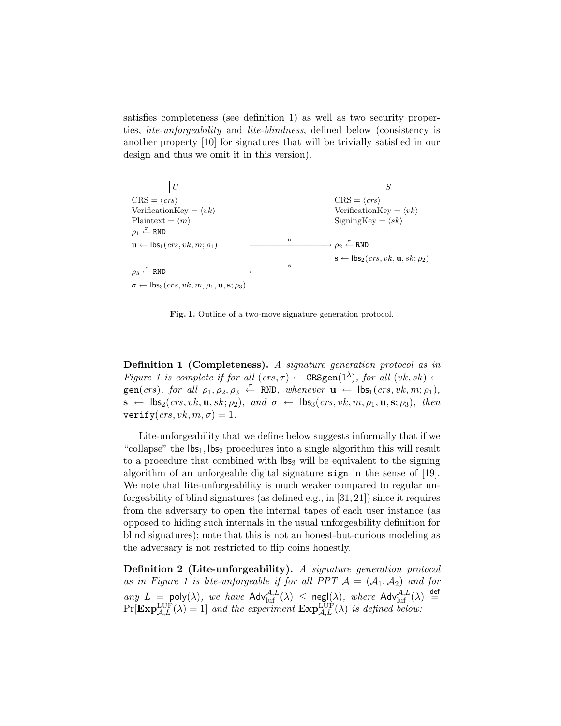satisfies completeness (see definition 1) as well as two security properties, lite-unforgeability and lite-blindness, defined below (consistency is another property [10] for signatures that will be trivially satisfied in our design and thus we omit it in this version).



Fig. 1. Outline of a two-move signature generation protocol.

Definition 1 (Completeness). A signature generation protocol as in Figure 1 is complete if for all  $(crs, \tau) \leftarrow$  CRSgen $(1^{\lambda})$ , for all  $(vk, sk) \leftarrow$  $\text{gen}(crs)$ , for all  $\rho_1, \rho_2, \rho_3 \leftarrow \text{RND}$ , whenever  $\mathbf{u} \leftarrow \text{lbs}_1(crs, vk, m; \rho_1)$ ,  $\mathbf{s} \leftarrow \mathsf{lds}_2(crs, vk, \mathbf{u}, sk; \rho_2), \text{ and } \sigma \leftarrow \mathsf{lds}_3(crs, vk, m, \rho_1, \mathbf{u}, \mathbf{s}; \rho_3), \text{ then}$ verify $(crs, vk, m, \sigma) = 1$ .

Lite-unforgeability that we define below suggests informally that if we "collapse" the  $\mathsf{Ibs}_1$ ,  $\mathsf{Ibs}_2$  procedures into a single algorithm this will result to a procedure that combined with  $\log_3$  will be equivalent to the signing algorithm of an unforgeable digital signature sign in the sense of [19]. We note that lite-unforgeability is much weaker compared to regular unforgeability of blind signatures (as defined e.g., in [31, 21]) since it requires from the adversary to open the internal tapes of each user instance (as opposed to hiding such internals in the usual unforgeability definition for blind signatures); note that this is not an honest-but-curious modeling as the adversary is not restricted to flip coins honestly.

Definition 2 (Lite-unforgeability). A signature generation protocol as in Figure 1 is lite-unforgeable if for all PPT  $A = (A_1, A_2)$  and for any  $L = \text{poly}(\lambda)$ , we have  $\text{Adv}_{\text{luf}}^{\mathcal{A},L}(\lambda) \leq \text{negl}(\lambda)$ , where  $\text{Adv}_{\text{luf}}^{\mathcal{A},L}(\lambda) \stackrel{\text{def}}{=}$  $Pr[\mathbf{Exp}_{\mathcal{A},L}^{\text{LUF}}(\lambda) = 1]$  and the experiment  $\mathbf{Exp}_{\mathcal{A},L}^{\text{LUF}}(\lambda)$  is defined below: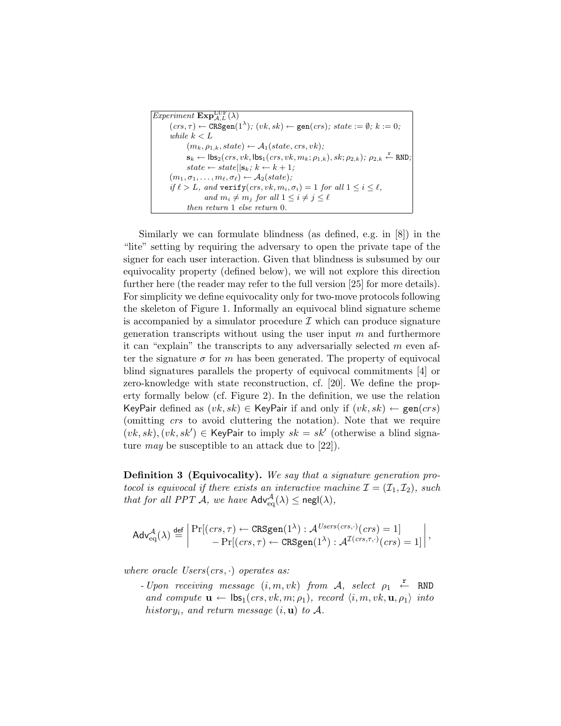| <i>Experiment</i> $\mathbf{Exp}_{A,L}^{\mathrm{LUF}}(\lambda)$                                                                                   |
|--------------------------------------------------------------------------------------------------------------------------------------------------|
| $(crs, \tau) \leftarrow \text{CRSgen}(1^{\lambda}); (vk, sk) \leftarrow \text{gen}(crs); state := \emptyset; k := 0;$                            |
| while $k < L$                                                                                                                                    |
| $(m_k, \rho_{1,k}, state) \leftarrow A_1(state, crs, vk);$                                                                                       |
| $\mathbf{s}_k \leftarrow \mathsf{lbs}_2(crs, vk, \mathsf{lbs}_1(crs, vk, m_k; \rho_{1,k}), sk; \rho_{2,k}); \rho_{2,k} \leftarrow \mathsf{RND};$ |
| $state \leftarrow state  \mathbf{s}_k; k \leftarrow k+1;$                                                                                        |
| $(m_1, \sigma_1, \ldots, m_\ell, \sigma_\ell) \leftarrow A_2(state);$                                                                            |
| if $\ell > L$ , and verify $(crs, vk, m_i, \sigma_i) = 1$ for all $1 \leq i \leq \ell$ ,                                                         |
| and $m_i \neq m_j$ for all $1 \leq i \neq j \leq \ell$                                                                                           |
| then return 1 else return 0.                                                                                                                     |
|                                                                                                                                                  |

Similarly we can formulate blindness (as defined, e.g. in [8]) in the "lite" setting by requiring the adversary to open the private tape of the signer for each user interaction. Given that blindness is subsumed by our equivocality property (defined below), we will not explore this direction further here (the reader may refer to the full version [25] for more details). For simplicity we define equivocality only for two-move protocols following the skeleton of Figure 1. Informally an equivocal blind signature scheme is accompanied by a simulator procedure  $\mathcal I$  which can produce signature generation transcripts without using the user input  $m$  and furthermore it can "explain" the transcripts to any adversarially selected  $m$  even after the signature  $\sigma$  for m has been generated. The property of equivocal blind signatures parallels the property of equivocal commitments [4] or zero-knowledge with state reconstruction, cf. [20]. We define the property formally below (cf. Figure 2). In the definition, we use the relation KeyPair defined as  $(vk, sk) \in$  KeyPair if and only if  $(vk, sk) \leftarrow gen(crs)$ (omitting crs to avoid cluttering the notation). Note that we require  $(vk, sk), (vk, sk') \in \text{KeyPair to imply } sk = sk' \text{ (otherwise a blind signa-}$ ture *may* be susceptible to an attack due to  $[22]$ .

Definition 3 (Equivocality). We say that a signature generation protocol is equivocal if there exists an interactive machine  $\mathcal{I} = (\mathcal{I}_1, \mathcal{I}_2)$ , such that for all PPT  $\mathcal{A}$ , we have  $\mathsf{Adv}^{\mathcal{A}}_{eq}(\lambda) \le \mathsf{negl}(\lambda)$ ,

$$
\mathsf{Adv}^{\mathcal{A}}_{\mathrm{eq}}(\lambda) \stackrel{\mathrm{def}}{=} \left| \frac{\Pr[(\mathit{crs}, \tau) \leftarrow \mathrm{CRSgen}(1^{\lambda}) : \mathcal{A}^{\mathit{Users}(\mathit{crs}, \cdot)}(\mathit{crs}) = 1]}{-\Pr[(\mathit{crs}, \tau) \leftarrow \mathrm{CRSgen}(1^{\lambda}) : \mathcal{A}^{\mathcal{I}(\mathit{crs}, \tau, \cdot)}(\mathit{crs}) = 1]}\right|,
$$

where oracle  $Users(crs, \cdot)$  operates as:

- Upon receiving message  $(i, m, vk)$  from  $\mathcal{A}$ , select  $\rho_1 \stackrel{\mathbf{r}}{\leftarrow}$  RND and compute  $\mathbf{u} \leftarrow \mathsf{lds}_1(crs, vk, m; \rho_1), record \langle i, m, vk, \mathbf{u}, \rho_1 \rangle$  into history<sub>i</sub>, and return message  $(i, u)$  to A.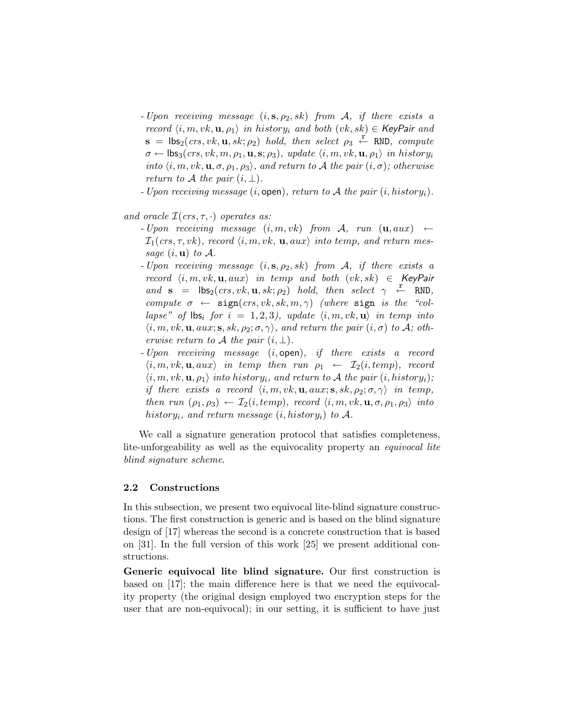- Upon receiving message  $(i, s, \rho_2, sk)$  from A, if there exists a record  $\langle i, m, vk, \mathbf{u}, \rho_1 \rangle$  in history<sub>i</sub> and both  $(vk, sk) \in \mathsf{KeyPair}$  and  $\mathbf{s} = \mathsf{lbs}_2(crs, vk, \mathbf{u}, sk; \rho_2)$  hold, then select  $\rho_3 \stackrel{\mathbf{r}'}{\leftarrow} \text{RND}$ , compute  $\sigma \leftarrow \mathsf{lds}_3(crs, vk, m, \rho_1, \mathbf{u}, \mathbf{s}; \rho_3), \ update\ \langle i, m, vk, \mathbf{u}, \rho_1 \rangle \ in \ history_i$ into  $\langle i, m, vk, \mathbf{u}, \sigma, \rho_1, \rho_3 \rangle$ , and return to A the pair  $(i, \sigma)$ ; otherwise return to A the pair  $(i, \perp)$ .
- Upon receiving message  $(i, \text{open})$ , return to A the pair  $(i, history_i)$ .

and oracle  $\mathcal{I}(crs, \tau, \cdot)$  operates as:

- Upon receiving message  $(i, m, vk)$  from A, run  $(\mathbf{u}, aux) \leftarrow$  $\mathcal{I}_1(crs, \tau, vk)$ , record  $\langle i, m, vk, \mathbf{u}, aux \rangle$  into temp, and return message  $(i, \mathbf{u})$  to  $\mathcal{A}$ .
- Upon receiving message  $(i, s, \rho_2, sk)$  from A, if there exists a record  $\langle i, m, vk, u, aux \rangle$  in temp and both  $(vk, sk) \in \mathsf{KeyPair}$ and  $\mathbf{s} = \mathsf{lbs}_2(crs, vk, \mathbf{u}, sk; \rho_2)$  hold, then select  $\gamma \leftarrow \texttt{RND}$ , compute  $\sigma \leftarrow \text{sign}(crs, vk, sk, m, \gamma)$  (where sign is the "collapse" of  $\mathsf{ls}_i$  for  $i = 1, 2, 3$ , update  $\langle i, m, vk, \mathbf{u} \rangle$  in temp into  $\langle i, m, vk, \mathbf{u}, aux; \mathbf{s}, sk, \rho_2; \sigma, \gamma \rangle$ , and return the pair  $(i, \sigma)$  to A; otherwise return to A the pair  $(i, \perp)$ .
- Upon receiving message (i, open), if there exists a record  $\langle i, m, vk, \mathbf{u}, aux \rangle$  in temp then run  $\rho_1 \leftarrow \mathcal{I}_2(i, temp)$ , record  $\langle i, m, vk, \mathbf{u}, \rho_1 \rangle$  into history<sub>i</sub>, and return to A the pair  $(i, history_i)$ ; if there exists a record  $\langle i, m, vk, \mathbf{u}, aux; \mathbf{s}, sk, \rho_2; \sigma, \gamma \rangle$  in temp, then run  $(\rho_1, \rho_3) \leftarrow \mathcal{I}_2(i, temp)$ , record  $\langle i, m, vk, \mathbf{u}, \sigma, \rho_1, \rho_3 \rangle$  into history<sub>i</sub>, and return message  $(i, history_i)$  to A.

We call a signature generation protocol that satisfies completeness, lite-unforgeability as well as the equivocality property an *equivocal lite* blind signature scheme.

### 2.2 Constructions

In this subsection, we present two equivocal lite-blind signature constructions. The first construction is generic and is based on the blind signature design of [17] whereas the second is a concrete construction that is based on [31]. In the full version of this work [25] we present additional constructions.

Generic equivocal lite blind signature. Our first construction is based on [17]; the main difference here is that we need the equivocality property (the original design employed two encryption steps for the user that are non-equivocal); in our setting, it is sufficient to have just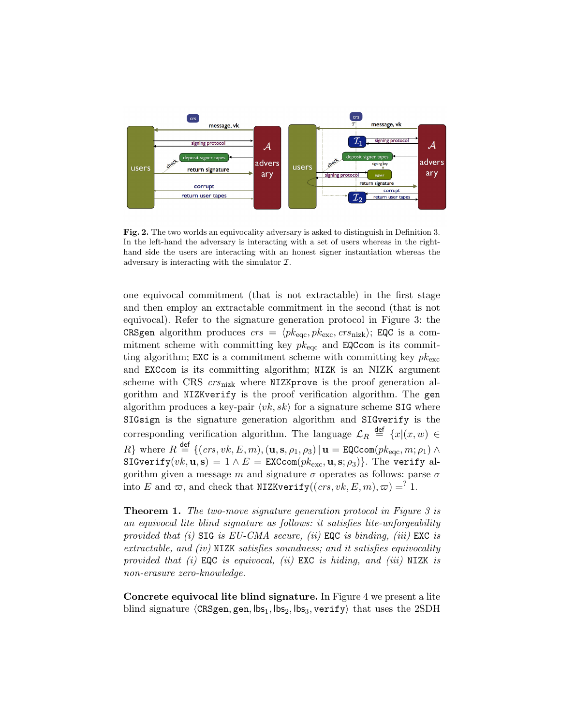

Fig. 2. The two worlds an equivocality adversary is asked to distinguish in Definition 3. In the left-hand the adversary is interacting with a set of users whereas in the righthand side the users are interacting with an honest signer instantiation whereas the adversary is interacting with the simulator  $\mathcal{I}$ .

one equivocal commitment (that is not extractable) in the first stage and then employ an extractable commitment in the second (that is not equivocal). Refer to the signature generation protocol in Figure 3: the CRSgen algorithm produces  $crs = \langle pk_{\text{ecc}}, pk_{\text{exc}}, crs_{\text{nizk}} \rangle$ ; EQC is a commitment scheme with committing key  $pk_{\text{eqc}}$  and EQCcom is its committing algorithm; EXC is a commitment scheme with committing key  $pk_{\text{exc}}$ and EXCcom is its committing algorithm; NIZK is an NIZK argument scheme with CRS  $crs_{\text{nizk}}$  where NIZKprove is the proof generation algorithm and NIZKverify is the proof verification algorithm. The gen algorithm produces a key-pair  $\langle vk, sk \rangle$  for a signature scheme SIG where SIGsign is the signature generation algorithm and SIGverify is the corresponding verification algorithm. The language  $\mathcal{L}_R \stackrel{\text{def}}{=} \{x | (x, w) \in$ R} where  $R \stackrel{\text{def}}{=} \{ (crs, vk, E, m), (\mathbf{u}, \mathbf{s}, \rho_1, \rho_3) | \mathbf{u} = \texttt{EQCcom}(pk_{\text{eqc}}, m; \rho_1) \land$ SIGverify $(vk, \mathbf{u}, \mathbf{s}) = 1 \wedge E = \text{EXCcom}(pk_{\text{exc}}, \mathbf{u}, \mathbf{s}; \rho_3)$ . The verify algorithm given a message m and signature  $\sigma$  operates as follows: parse  $\sigma$ into E and  $\varpi$ , and check that NIZKverify((crs, vk, E, m),  $\varpi$ ) =<sup>?</sup> 1.

**Theorem 1.** The two-move signature generation protocol in Figure 3 is an equivocal lite blind signature as follows: it satisfies lite-unforgeability provided that (i)  $\text{SIG}$  is EU-CMA secure, (ii) EQC is binding, (iii) EXC is extractable, and (iv) NIZK satisfies soundness; and it satisfies equivocality provided that  $(i)$  EQC is equivocal,  $(ii)$  EXC is hiding, and  $(iii)$  NIZK is non-erasure zero-knowledge.

Concrete equivocal lite blind signature. In Figure 4 we present a lite blind signature  $\langle$ CRSgen, gen, lbs<sub>1</sub>, lbs<sub>2</sub>, lbs<sub>3</sub>, verify) that uses the 2SDH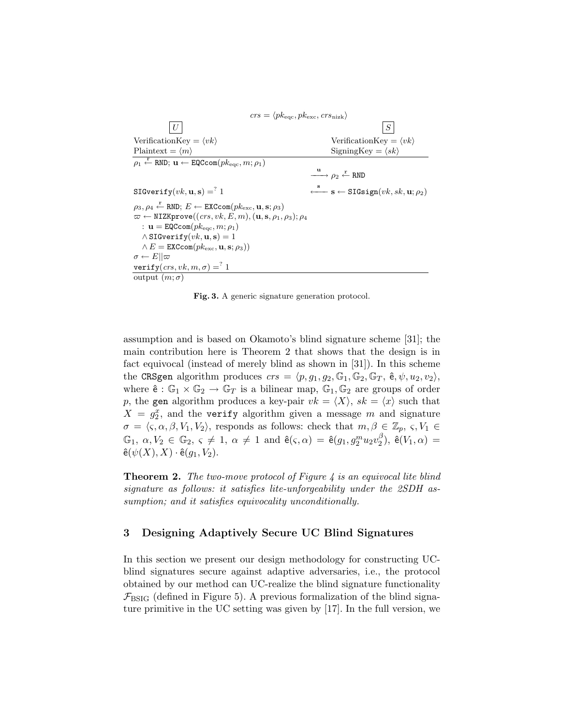```
crs = \langle p k_{\text{eqc}}, p k_{\text{exc}}, crs_{\text{nizk}} \rangleU \mid SVerificationKey = \langle vk \rangle VerificationKey = \langle vk \ranglePlaintext = \langle m \rangle SigningKey = \langle sk \rangle\rho_1 \overset{\mathbf{r}}{\leftarrow} \text{RND}; \, \mathbf{u} \leftarrow \texttt{EQCCom}(p k_{\text{eqc}}, m; \rho_1)\stackrel{\mathbf{u}}{\longrightarrow} \rho_2 \stackrel{\mathbf{r}}{\longleftarrow} \text{RND}\texttt{SIGverify}(vk, \mathbf{u}, \mathbf{s}) =^? 1\xleftarrow{\mathbf{s}} s ← SIGsign(vk, sk, \mathbf{u}; \rho_2)\rho_3, \rho_4 \stackrel{\text{r}}{\leftarrow} RND; E \leftarrow EXCcom(\text{pk}_{\text{exc}}, \textbf{u}, \textbf{s}; \rho_3)\varpi \leftarrow \texttt{NIZKprove}((\mathit{crs}, \mathit{vk}, E, m), (\mathbf{u}, \mathbf{s}, \rho_1, \rho_3); \rho_4): \mathbf{u} = \texttt{EQCcom}(pk_{\text{eqc}}, m; \rho_1)\wedge SIGverify(vk, \mathbf{u}, \mathbf{s}) = 1\wedge E = EXCcom(pk_{\text{exc}}, \mathbf{u}, \mathbf{s}; \rho_3))\sigma \leftarrow E||\varpi\texttt{verify}(\textit{crs}, \textit{vk}, m, \sigma) =^? 1output (m; \sigma)
```
Fig. 3. A generic signature generation protocol.

assumption and is based on Okamoto's blind signature scheme [31]; the main contribution here is Theorem 2 that shows that the design is in fact equivocal (instead of merely blind as shown in [31]). In this scheme the CRSgen algorithm produces  $crs = \langle p, g_1, g_2, \mathbb{G}_1, \mathbb{G}_2, \mathbb{G}_T, \hat{\mathsf{e}}, \psi, u_2, v_2 \rangle$ , where  $\hat{\mathbf{e}}: \mathbb{G}_1 \times \mathbb{G}_2 \to \mathbb{G}_T$  is a bilinear map,  $\mathbb{G}_1, \mathbb{G}_2$  are groups of order p, the gen algorithm produces a key-pair  $vk = \langle X \rangle$ ,  $sk = \langle x \rangle$  such that  $X = g_2^x$ , and the verify algorithm given a message m and signature  $\sigma = \langle \varsigma, \alpha, \beta, V_1, V_2 \rangle$ , responds as follows: check that  $m, \beta \in \mathbb{Z}_p, \varsigma, V_1 \in$  $\mathbb{G}_1, \ \alpha, V_2 \in \mathbb{G}_2, \ \varsigma \neq 1, \ \alpha \neq 1 \ \text{ and } \ \hat{\mathsf{e}}(\varsigma, \alpha) \ = \ \hat{\mathsf{e}}(g_1, g_2^m u_2 v_2^{\beta})$  $\binom{p}{2}$ , ê $(V_1,\alpha)$  =  $\hat{\mathsf{e}}(\psi(X), X) \cdot \hat{\mathsf{e}}(g_1, V_2).$ 

**Theorem 2.** The two-move protocol of Figure  $\ddot{A}$  is an equivocal lite blind signature as follows: it satisfies lite-unforgeability under the 2SDH assumption; and it satisfies equivocality unconditionally.

# 3 Designing Adaptively Secure UC Blind Signatures

In this section we present our design methodology for constructing UCblind signatures secure against adaptive adversaries, i.e., the protocol obtained by our method can UC-realize the blind signature functionality  $\mathcal{F}_{\rm BSIG}$  (defined in Figure 5). A previous formalization of the blind signature primitive in the UC setting was given by [17]. In the full version, we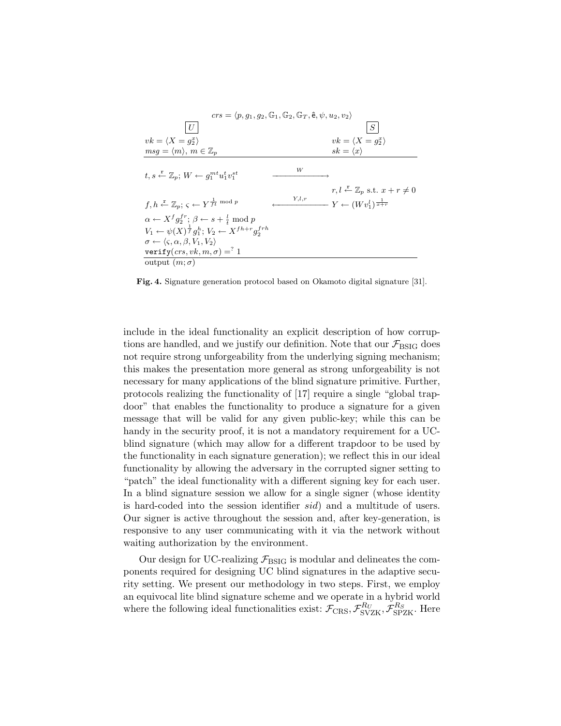

Fig. 4. Signature generation protocol based on Okamoto digital signature [31].

include in the ideal functionality an explicit description of how corruptions are handled, and we justify our definition. Note that our  $\mathcal{F}_{BSIG}$  does not require strong unforgeability from the underlying signing mechanism; this makes the presentation more general as strong unforgeability is not necessary for many applications of the blind signature primitive. Further, protocols realizing the functionality of [17] require a single "global trapdoor" that enables the functionality to produce a signature for a given message that will be valid for any given public-key; while this can be handy in the security proof, it is not a mandatory requirement for a UCblind signature (which may allow for a different trapdoor to be used by the functionality in each signature generation); we reflect this in our ideal functionality by allowing the adversary in the corrupted signer setting to "patch" the ideal functionality with a different signing key for each user. In a blind signature session we allow for a single signer (whose identity is hard-coded into the session identifier sid) and a multitude of users. Our signer is active throughout the session and, after key-generation, is responsive to any user communicating with it via the network without waiting authorization by the environment.

Our design for UC-realizing  $\mathcal{F}_{BSIG}$  is modular and delineates the components required for designing UC blind signatures in the adaptive security setting. We present our methodology in two steps. First, we employ an equivocal lite blind signature scheme and we operate in a hybrid world where the following ideal functionalities exist:  $\mathcal{F}_{CRS}, \mathcal{F}_{SVZK}^{R_U}, \mathcal{F}_{SPZK}^{R_S}$ . Here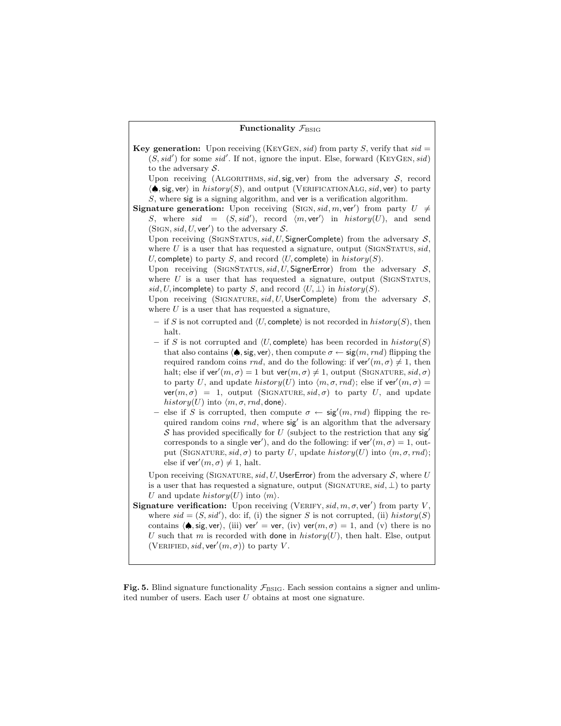#### Functionality  $\mathcal{F}_{\text{BSIG}}$

**Key generation:** Upon receiving (KEYGEN, sid) from party S, verify that sid  $=$  $(S, sid')$  for some sid'. If not, ignore the input. Else, forward (KEYGEN, sid) to the adversary  $S$ .

Upon receiving (ALGORITHMS, sid, sig, ver) from the adversary  $S$ , record  $\langle \spadesuit$ , sig, ver) in history(S), and output (VERIFICATIONALG, sid, ver) to party S, where sig is a signing algorithm, and ver is a verification algorithm.

**Signature generation:** Upon receiving (SIGN, sid, m, ver') from party  $U \neq$ S, where  $sid = (S, sid')$ , record  $\langle m, ver' \rangle$  in  $history(U)$ , and send (SIGN, sid, U, ver') to the adversary  $S$ .

Upon receiving (SIGNSTATUS,  $sid, U$ , SignerComplete) from the adversary  $S$ , where U is a user that has requested a signature, output (SIGNSTATUS,  $sid$ , U, complete) to party S, and record  $\langle U$ , complete) in history(S).

Upon receiving (SIGNSTATUS, sid, U, SignerError) from the adversary  $S$ , where  $U$  is a user that has requested a signature, output (SIGNSTATUS, sid, U, incomplete) to party S, and record  $\langle U, \perp \rangle$  in history(S).

Upon receiving (SIGNATURE, sid, U, UserComplete) from the adversary  $S$ , where  $U$  is a user that has requested a signature,

- if S is not corrupted and  $\langle U$ , complete) is not recorded in  $history(S)$ , then halt.
- if S is not corrupted and  $\langle U, \text{complete} \rangle$  has been recorded in history(S) that also contains  $\langle \spadesuit, \text{sig}, \text{ver} \rangle$ , then compute  $\sigma \leftarrow \text{sig}(m, rnd)$  flipping the required random coins rnd, and do the following: if  $ver'(m, \sigma) \neq 1$ , then halt; else if ver' $(m, \sigma) = 1$  but ver $(m, \sigma) \neq 1$ , output (SIGNATURE, sid,  $\sigma$ ) to party U, and update history(U) into  $\langle m, \sigma, rnd \rangle$ ; else if ver $(m, \sigma)$  =  $ver(m, \sigma) = 1$ , output (SIGNATURE, sid,  $\sigma$ ) to party U, and update history(U) into  $\langle m, \sigma, rnd,$  done $\rangle$ .
- else if S is corrupted, then compute  $\sigma \leftarrow \text{sig}'(m, rnd)$  flipping the required random coins  $rnd$ , where  $sig'$  is an algorithm that the adversary S has provided specifically for U (subject to the restriction that any  $sig'$ corresponds to a single ver'), and do the following: if ver' $(m, \sigma) = 1$ , output (SIGNATURE, sid,  $\sigma$ ) to party U, update history(U) into  $\langle m, \sigma, rnd \rangle$ ; else if ver' $(m, \sigma) \neq 1$ , halt.

Upon receiving (SIGNATURE, sid, U, UserError) from the adversary  $S$ , where U is a user that has requested a signature, output (SIGNATURE,  $sid, \perp$ ) to party U and update history $(U)$  into  $\langle m \rangle$ .

**Signature verification:** Upon receiving (VERIFY, sid, m,  $\sigma$ , ver') from party V, where  $sid = (S, sid')$ , do: if, (i) the signer S is not corrupted, (ii) history(S) contains  $\langle \spadesuit, \text{sig}, \text{ver} \rangle$ , (iii) ver' = ver, (iv) ver $(m, \sigma) = 1$ , and (v) there is no U such that m is recorded with done in  $history(U)$ , then halt. Else, output (VERIFIED, sid, ver' $(m, \sigma)$ ) to party V.

Fig. 5. Blind signature functionality  $\mathcal{F}_{\text{BSIG}}$ . Each session contains a signer and unlimited number of users. Each user U obtains at most one signature.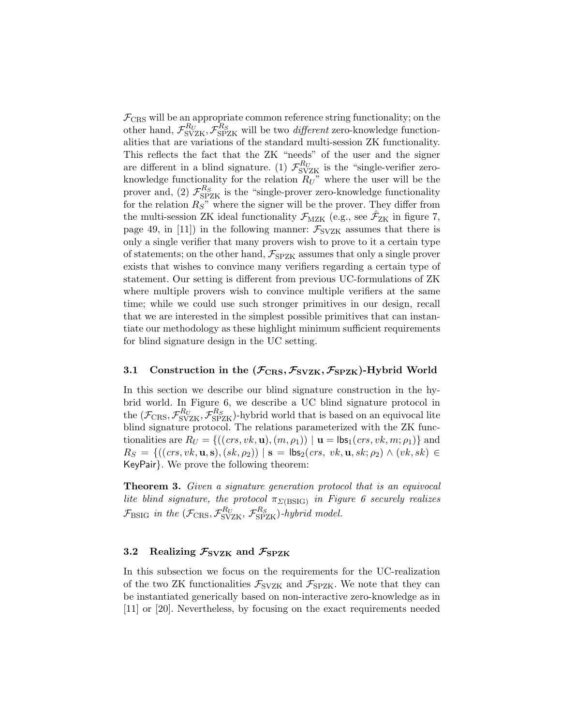$\mathcal{F}_{\text{CRS}}$  will be an appropriate common reference string functionality; on the other hand,  $\mathcal{F}_{\rm SVZK}^{R_U}, \mathcal{F}_{\rm SPZK}^{R_S}$  will be two *different* zero-knowledge functionalities that are variations of the standard multi-session ZK functionality. This reflects the fact that the ZK "needs" of the user and the signer are different in a blind signature. (1)  $\mathcal{F}_{SVZK}^{R_U}$  is the "single-verifier zeroknowledge functionality for the relation  $R_U$ " where the user will be the prover and, (2)  $\mathcal{F}_{\text{SPZK}}^{R_S}$  is the "single-prover zero-knowledge functionality for the relation  $R_S$ " where the signer will be the prover. They differ from the multi-session ZK ideal functionality  $\mathcal{F}_{MZK}$  (e.g., see  $\hat{\mathcal{F}}_{ZK}$  in figure 7, page 49, in [11]) in the following manner:  $\mathcal{F}_{SVZK}$  assumes that there is only a single verifier that many provers wish to prove to it a certain type of statements; on the other hand,  $\mathcal{F}_{SPZK}$  assumes that only a single prover exists that wishes to convince many verifiers regarding a certain type of statement. Our setting is different from previous UC-formulations of ZK where multiple provers wish to convince multiple verifiers at the same time; while we could use such stronger primitives in our design, recall that we are interested in the simplest possible primitives that can instantiate our methodology as these highlight minimum sufficient requirements for blind signature design in the UC setting.

### 3.1 Construction in the  $(\mathcal{F}_{CRS}, \mathcal{F}_{SVZK}, \mathcal{F}_{SPZK})$ -Hybrid World

In this section we describe our blind signature construction in the hybrid world. In Figure 6, we describe a UC blind signature protocol in the  $(\mathcal{F}_{CRS}, \mathcal{F}_{SVZK}^{R_U}, \mathcal{F}_{SPZK}^{R_S})$ -hybrid world that is based on an equivocal lite blind signature protocol. The relations parameterized with the ZK functionalities are  $R_U = \{((\text{crs}, v_k, \mathbf{u}), (m, \rho_1)) \mid \mathbf{u} = \mathsf{lds}_1(\text{crs}, v_k, m; \rho_1) \}$  and  $R_S = \{((crs, vk, \mathbf{u}, \mathbf{s}), (sk, \rho_2)) | \mathbf{s} = \mathsf{lbs}_2(crs, vk, \mathbf{u}, sk; \rho_2) \land (vk, sk) \in$ KeyPair}. We prove the following theorem:

**Theorem 3.** Given a signature generation protocol that is an equivocal lite blind signature, the protocol  $\pi_{\Sigma(\text{BSIG})}$  in Figure 6 securely realizes  $\mathcal{F}_{\rm{BSIG}}$  in the  $(\mathcal{F}_{\rm{CRS}}, \mathcal{F}_{\rm{SVZK}}^{R_U}, \mathcal{F}_{\rm{SPZK}}^{R_S})$ -hybrid model.

# 3.2 Realizing  $\mathcal{F}_{SVZK}$  and  $\mathcal{F}_{SPZK}$

In this subsection we focus on the requirements for the UC-realization of the two ZK functionalities  $\mathcal{F}_{SVZK}$  and  $\mathcal{F}_{SPZK}$ . We note that they can be instantiated generically based on non-interactive zero-knowledge as in [11] or [20]. Nevertheless, by focusing on the exact requirements needed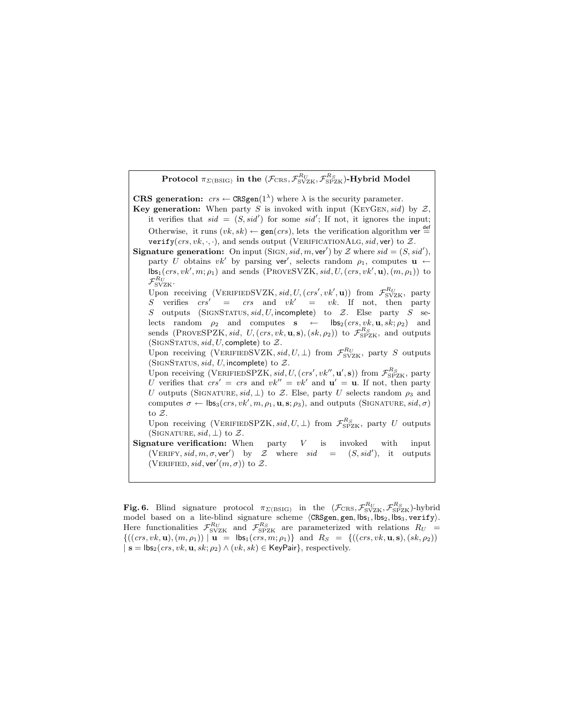

Fig. 6. Blind signature protocol  $\pi_{\Sigma(\text{BSIG})}$  in the  $(\mathcal{F}_{\text{CRS}}, \mathcal{F}_{\text{SVZK}}^{R_U}, \mathcal{F}_{\text{SPZK}}^{R_S})$ -hybrid model based on a lite-blind signature scheme  $\langle CRSgen, gen, lbs<sub>1</sub>, lbs<sub>2</sub>, lbs<sub>3</sub>, verify.$ Here functionalities  $\mathcal{F}_{SVZK}^{R_U}$  and  $\mathcal{F}_{SPZK}^{R_S}$  are parameterized with relations  $R_U$  =  $\{((crs, vk, \mathbf{u}), (m, \rho_1)) \mid \mathbf{u} = \mathsf{Ibs}_1(crs, m; \rho_1)\}\$ and  $R_S = \{((crs, vk, \mathbf{u}, \mathbf{s}), (sk, \rho_2))\}$  $| \mathbf{s} = \mathsf{lbs}_2(crs, vk, \mathbf{u}, sk; \rho_2) \wedge (vk, sk) \in \mathsf{KeyPair} \}$ , respectively.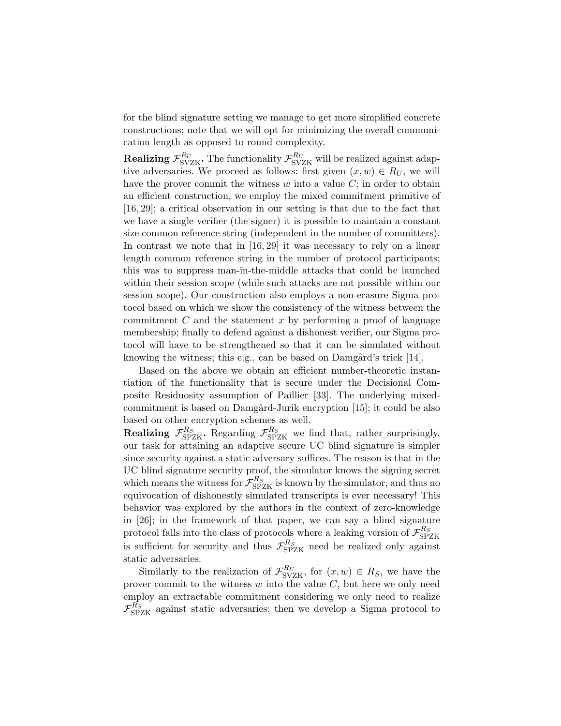for the blind signature setting we manage to get more simplified concrete constructions; note that we will opt for minimizing the overall communication length as opposed to round complexity.

Realizing  $\mathcal{F}_{\rm SVZK}^{R_U}$ . The functionality  $\mathcal{F}_{\rm SVZK}^{R_U}$  will be realized against adaptive adversaries. We proceed as follows: first given  $(x, w) \in R_U$ , we will have the prover commit the witness  $w$  into a value  $C$ ; in order to obtain an efficient construction, we employ the mixed commitment primitive of [16, 29]; a critical observation in our setting is that due to the fact that we have a single verifier (the signer) it is possible to maintain a constant size common reference string (independent in the number of committers). In contrast we note that in [16, 29] it was necessary to rely on a linear length common reference string in the number of protocol participants; this was to suppress man-in-the-middle attacks that could be launched within their session scope (while such attacks are not possible within our session scope). Our construction also employs a non-erasure Sigma protocol based on which we show the consistency of the witness between the commitment  $C$  and the statement  $x$  by performing a proof of language membership; finally to defend against a dishonest verifier, our Sigma protocol will have to be strengthened so that it can be simulated without knowing the witness; this e.g., can be based on  $Damg\ddot{\mathrm{a}}$  rick [14].

Based on the above we obtain an efficient number-theoretic instantiation of the functionality that is secure under the Decisional Composite Residuosity assumption of Paillier [33]. The underlying mixedcommitment is based on Damgård-Jurik encryption [15]; it could be also based on other encryption schemes as well.

**Realizing**  $\mathcal{F}_{SPZK}^{R_S}$ . Regarding  $\mathcal{F}_{SPZK}^{R_S}$  we find that, rather surprisingly, our task for attaining an adaptive secure UC blind signature is simpler since security against a static adversary suffices. The reason is that in the UC blind signature security proof, the simulator knows the signing secret which means the witness for  $\mathcal{F}_{\rm SPZK}^{R_S}$  is known by the simulator, and thus no equivocation of dishonestly simulated transcripts is ever necessary! This behavior was explored by the authors in the context of zero-knowledge in [26]; in the framework of that paper, we can say a blind signature protocol falls into the class of protocols where a leaking version of  $\mathcal{F}_{\rm SPZK}^{R_S}$ is sufficient for security and thus  $\mathcal{F}_{\rm SPZK}^{R_S}$  need be realized only against static adversaries.

Similarly to the realization of  $\mathcal{F}_{SVZK}^{R_U}$ , for  $(x, w) \in R_S$ , we have the prover commit to the witness  $w$  into the value  $C$ , but here we only need employ an extractable commitment considering we only need to realize  $\mathcal{F}_{\rm SPZK}^{\overline{R}_S}$  against static adversaries; then we develop a Sigma protocol to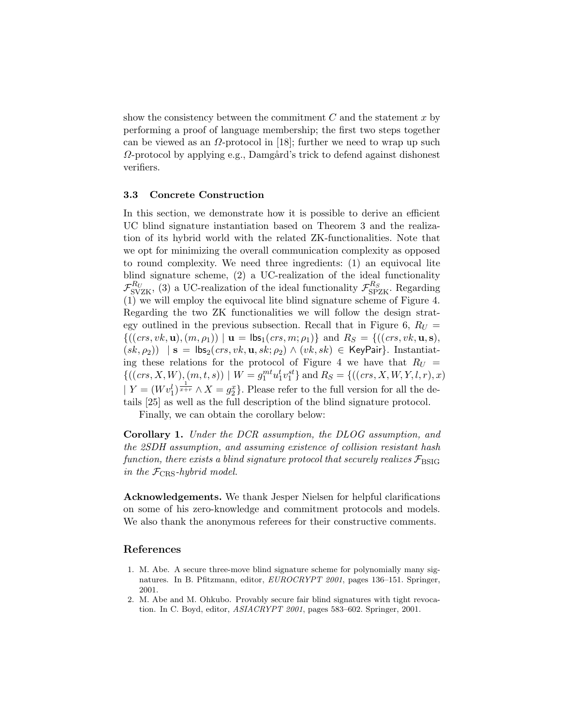show the consistency between the commitment  $C$  and the statement  $x$  by performing a proof of language membership; the first two steps together can be viewed as an  $\Omega$ -protocol in [18]; further we need to wrap up such  $\Omega$ -protocol by applying e.g., Damgård's trick to defend against dishonest verifiers.

#### 3.3 Concrete Construction

In this section, we demonstrate how it is possible to derive an efficient UC blind signature instantiation based on Theorem 3 and the realization of its hybrid world with the related ZK-functionalities. Note that we opt for minimizing the overall communication complexity as opposed to round complexity. We need three ingredients: (1) an equivocal lite blind signature scheme, (2) a UC-realization of the ideal functionality  $\mathcal{F}_{SVZK}^{R_U}$ , (3) a UC-realization of the ideal functionality  $\mathcal{F}_{SPZK}^{R_S}$ . Regarding (1) we will employ the equivocal lite blind signature scheme of Figure 4. Regarding the two ZK functionalities we will follow the design strategy outlined in the previous subsection. Recall that in Figure 6,  $R_U =$  $\{((\text{crs}, \text{vk}, \mathbf{u}), (m, \rho_1)) \mid \mathbf{u} = \mathsf{lbs}_1(\text{crs}, m; \rho_1) \}$  and  $R_S = \{((\text{crs}, \text{vk}, \mathbf{u}, \mathbf{s}),$  $(sk, \rho_2)$ ) | s = lbs<sub>2</sub>(crs, vk, **u**, sk;  $\rho_2$ )  $\wedge$  (vk, sk)  $\in$  KeyPair}. Instantiating these relations for the protocol of Figure 4 we have that  $R_U =$  ${(((\mathit{crs}, X, W), (m, t, s)) \mid W = g_1^{mt} u_1^t v_1^{st}}$  and  $R_S = {((\mathit{crs}, X, W, Y, l, r), x)}$  $| Y = (Wv_1^l)^{\frac{1}{x+r}} \wedge X = g_2^x$ . Please refer to the full version for all the details [25] as well as the full description of the blind signature protocol.

Finally, we can obtain the corollary below:

Corollary 1. Under the DCR assumption, the DLOG assumption, and the 2SDH assumption, and assuming existence of collision resistant hash function, there exists a blind signature protocol that securely realizes  $\mathcal{F}_{\rm BSIG}$ in the  $\mathcal{F}_{CRS}$ -hybrid model.

Acknowledgements. We thank Jesper Nielsen for helpful clarifications on some of his zero-knowledge and commitment protocols and models. We also thank the anonymous referees for their constructive comments.

# References

- 1. M. Abe. A secure three-move blind signature scheme for polynomially many signatures. In B. Pfitzmann, editor, EUROCRYPT 2001, pages 136–151. Springer, 2001.
- 2. M. Abe and M. Ohkubo. Provably secure fair blind signatures with tight revocation. In C. Boyd, editor, ASIACRYPT 2001, pages 583–602. Springer, 2001.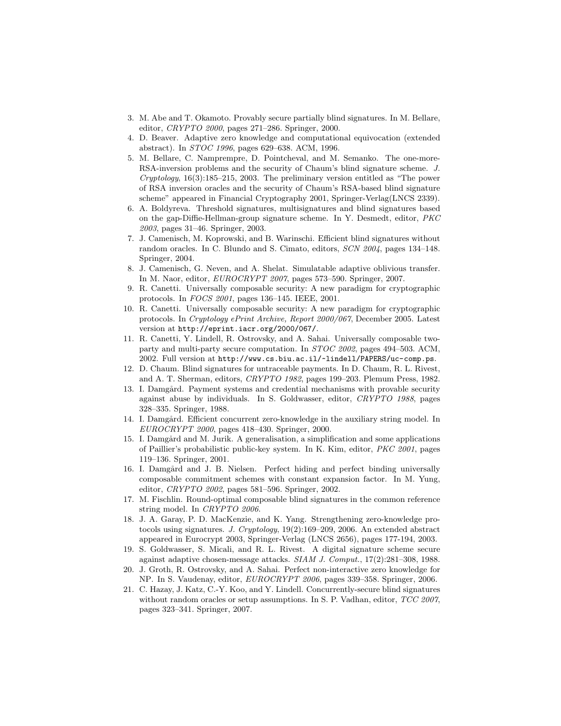- 3. M. Abe and T. Okamoto. Provably secure partially blind signatures. In M. Bellare, editor, CRYPTO 2000, pages 271–286. Springer, 2000.
- 4. D. Beaver. Adaptive zero knowledge and computational equivocation (extended abstract). In STOC 1996, pages 629–638. ACM, 1996.
- 5. M. Bellare, C. Namprempre, D. Pointcheval, and M. Semanko. The one-more-RSA-inversion problems and the security of Chaum's blind signature scheme. J. Cryptology, 16(3):185–215, 2003. The preliminary version entitled as "The power of RSA inversion oracles and the security of Chaum's RSA-based blind signature scheme" appeared in Financial Cryptography 2001, Springer-Verlag(LNCS 2339).
- 6. A. Boldyreva. Threshold signatures, multisignatures and blind signatures based on the gap-Diffie-Hellman-group signature scheme. In Y. Desmedt, editor, PKC 2003, pages 31–46. Springer, 2003.
- 7. J. Camenisch, M. Koprowski, and B. Warinschi. Efficient blind signatures without random oracles. In C. Blundo and S. Cimato, editors, SCN 2004, pages 134–148. Springer, 2004.
- 8. J. Camenisch, G. Neven, and A. Shelat. Simulatable adaptive oblivious transfer. In M. Naor, editor, EUROCRYPT 2007, pages 573–590. Springer, 2007.
- 9. R. Canetti. Universally composable security: A new paradigm for cryptographic protocols. In FOCS 2001, pages 136–145. IEEE, 2001.
- 10. R. Canetti. Universally composable security: A new paradigm for cryptographic protocols. In Cryptology ePrint Archive, Report 2000/067, December 2005. Latest version at http://eprint.iacr.org/2000/067/.
- 11. R. Canetti, Y. Lindell, R. Ostrovsky, and A. Sahai. Universally composable twoparty and multi-party secure computation. In STOC 2002, pages 494–503. ACM, 2002. Full version at http://www.cs.biu.ac.il/~lindell/PAPERS/uc-comp.ps.
- 12. D. Chaum. Blind signatures for untraceable payments. In D. Chaum, R. L. Rivest, and A. T. Sherman, editors, CRYPTO 1982, pages 199–203. Plemum Press, 1982.
- 13. I. Damgård. Payment systems and credential mechanisms with provable security against abuse by individuals. In S. Goldwasser, editor, CRYPTO 1988, pages 328–335. Springer, 1988.
- 14. I. Damgård. Efficient concurrent zero-knowledge in the auxiliary string model. In EUROCRYPT 2000, pages 418–430. Springer, 2000.
- 15. I. Damgård and M. Jurik. A generalisation, a simplification and some applications of Paillier's probabilistic public-key system. In K. Kim, editor, PKC 2001, pages 119–136. Springer, 2001.
- 16. I. Damgård and J. B. Nielsen. Perfect hiding and perfect binding universally composable commitment schemes with constant expansion factor. In M. Yung, editor, CRYPTO 2002, pages 581–596. Springer, 2002.
- 17. M. Fischlin. Round-optimal composable blind signatures in the common reference string model. In CRYPTO 2006.
- 18. J. A. Garay, P. D. MacKenzie, and K. Yang. Strengthening zero-knowledge protocols using signatures. J. Cryptology, 19(2):169–209, 2006. An extended abstract appeared in Eurocrypt 2003, Springer-Verlag (LNCS 2656), pages 177-194, 2003.
- 19. S. Goldwasser, S. Micali, and R. L. Rivest. A digital signature scheme secure against adaptive chosen-message attacks. SIAM J. Comput., 17(2):281–308, 1988.
- 20. J. Groth, R. Ostrovsky, and A. Sahai. Perfect non-interactive zero knowledge for NP. In S. Vaudenay, editor, EUROCRYPT 2006, pages 339–358. Springer, 2006.
- 21. C. Hazay, J. Katz, C.-Y. Koo, and Y. Lindell. Concurrently-secure blind signatures without random oracles or setup assumptions. In S. P. Vadhan, editor, TCC 2007, pages 323–341. Springer, 2007.